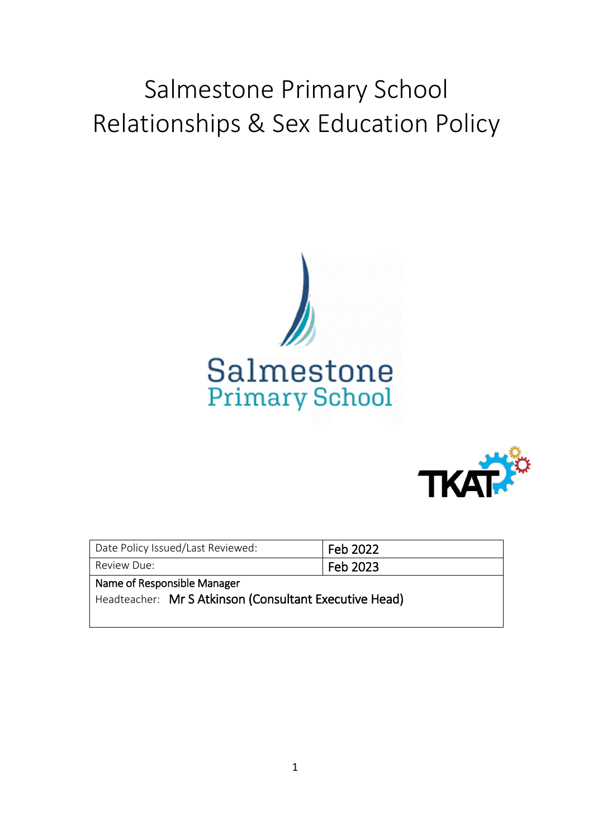# Salmestone Primary School Relationships & Sex Education Policy





| Date Policy Issued/Last Reviewed:                      | Feb 2022 |
|--------------------------------------------------------|----------|
| Review Due:                                            | Feb 2023 |
| Name of Responsible Manager                            |          |
| Headteacher: Mr S Atkinson (Consultant Executive Head) |          |
|                                                        |          |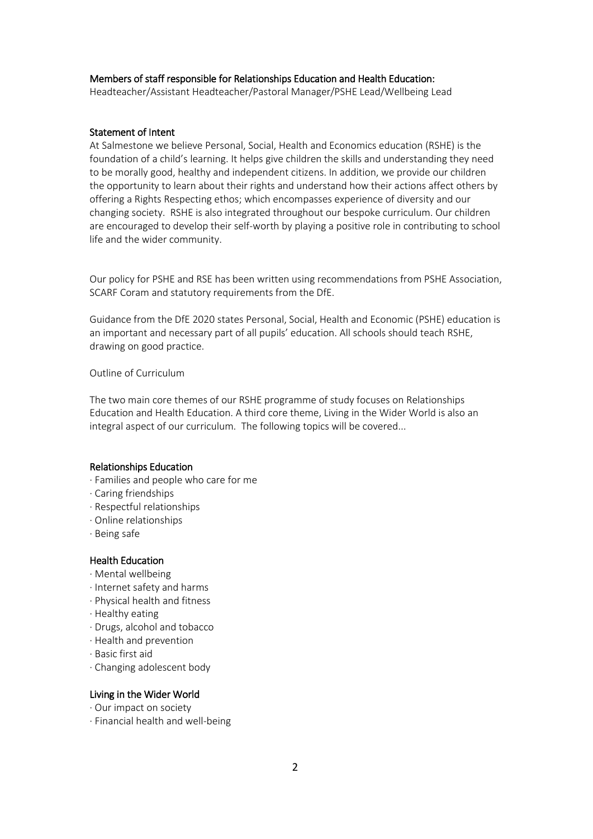## Members of staff responsible for Relationships Education and Health Education:

Headteacher/Assistant Headteacher/Pastoral Manager/PSHE Lead/Wellbeing Lead

#### Statement of Intent

At Salmestone we believe Personal, Social, Health and Economics education (RSHE) is the foundation of a child's learning. It helps give children the skills and understanding they need to be morally good, healthy and independent citizens. In addition, we provide our children the opportunity to learn about their rights and understand how their actions affect others by offering a Rights Respecting ethos; which encompasses experience of diversity and our changing society. RSHE is also integrated throughout our bespoke curriculum. Our children are encouraged to develop their self-worth by playing a positive role in contributing to school life and the wider community.

Our policy for PSHE and RSE has been written using recommendations from PSHE Association, SCARF Coram and statutory requirements from the DfE.

Guidance from the DfE 2020 states Personal, Social, Health and Economic (PSHE) education is an important and necessary part of all pupils' education. All schools should teach RSHE, drawing on good practice.

Outline of Curriculum

The two main core themes of our RSHE programme of study focuses on Relationships Education and Health Education. A third core theme, Living in the Wider World is also an integral aspect of our curriculum. The following topics will be covered...

#### Relationships Education

- ∙ Families and people who care for me
- ∙ Caring friendships
- ∙ Respectful relationships
- ∙ Online relationships
- ∙ Being safe

# Health Education

- ∙ Mental wellbeing
- ∙ Internet safety and harms
- ∙ Physical health and fitness
- ∙ Healthy eating
- ∙ Drugs, alcohol and tobacco
- ∙ Health and prevention
- ∙ Basic first aid
- ∙ Changing adolescent body

## Living in the Wider World

- ∙ Our impact on society
- ∙ Financial health and well-being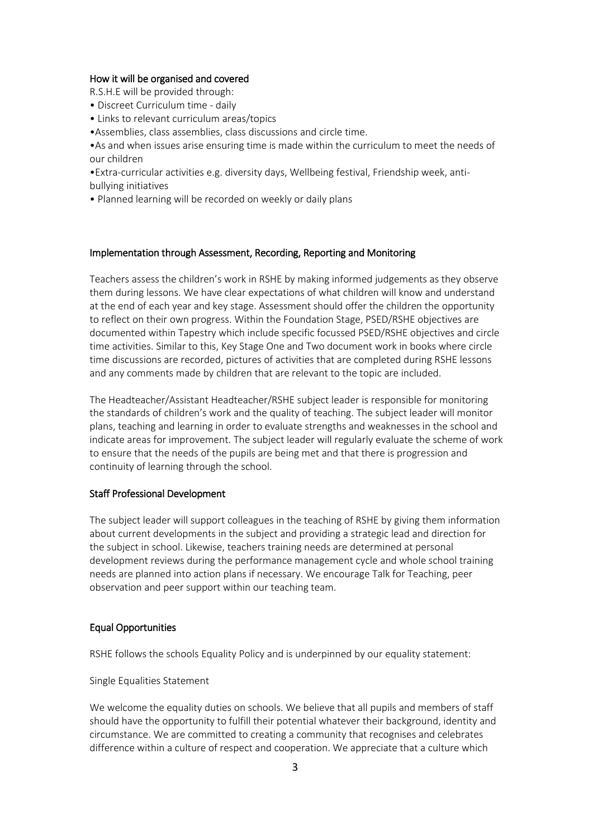## How it will be organised and covered

R.S.H.E will be provided through:

- Discreet Curriculum time daily
- Links to relevant curriculum areas/topics
- •Assemblies, class assemblies, class discussions and circle time.

•As and when issues arise ensuring time is made within the curriculum to meet the needs of our children

•Extra-curricular activities e.g. diversity days, Wellbeing festival, Friendship week, antibullying initiatives

• Planned learning will be recorded on weekly or daily plans

#### Implementation through Assessment, Recording, Reporting and Monitoring

Teachers assess the children's work in RSHE by making informed judgements as they observe them during lessons. We have clear expectations of what children will know and understand at the end of each year and key stage. Assessment should offer the children the opportunity to reflect on their own progress. Within the Foundation Stage, PSED/RSHE objectives are documented within Tapestry which include specific focussed PSED/RSHE objectives and circle time activities. Similar to this, Key Stage One and Two document work in books where circle time discussions are recorded, pictures of activities that are completed during RSHE lessons and any comments made by children that are relevant to the topic are included.

The Headteacher/Assistant Headteacher/RSHE subject leader is responsible for monitoring the standards of children's work and the quality of teaching. The subject leader will monitor plans, teaching and learning in order to evaluate strengths and weaknesses in the school and indicate areas for improvement. The subject leader will regularly evaluate the scheme of work to ensure that the needs of the pupils are being met and that there is progression and continuity of learning through the school.

#### Staff Professional Development

The subject leader will support colleagues in the teaching of RSHE by giving them information about current developments in the subject and providing a strategic lead and direction for the subject in school. Likewise, teachers training needs are determined at personal development reviews during the performance management cycle and whole school training needs are planned into action plans if necessary. We encourage Talk for Teaching, peer observation and peer support within our teaching team.

# Equal Opportunities

RSHE follows the schools Equality Policy and is underpinned by our equality statement:

Single Equalities Statement

We welcome the equality duties on schools. We believe that all pupils and members of staff should have the opportunity to fulfill their potential whatever their background, identity and circumstance. We are committed to creating a community that recognises and celebrates difference within a culture of respect and cooperation. We appreciate that a culture which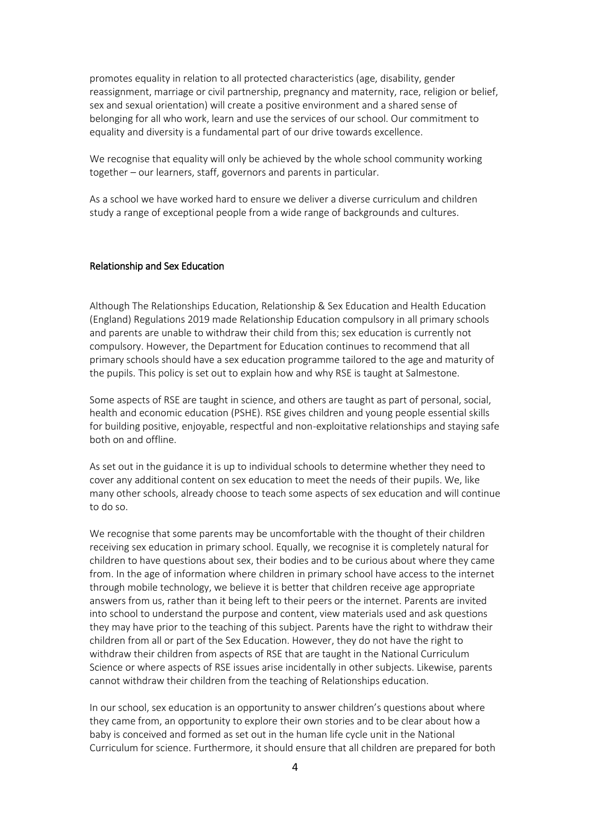promotes equality in relation to all protected characteristics (age, disability, gender reassignment, marriage or civil partnership, pregnancy and maternity, race, religion or belief, sex and sexual orientation) will create a positive environment and a shared sense of belonging for all who work, learn and use the services of our school. Our commitment to equality and diversity is a fundamental part of our drive towards excellence.

We recognise that equality will only be achieved by the whole school community working together – our learners, staff, governors and parents in particular.

As a school we have worked hard to ensure we deliver a diverse curriculum and children study a range of exceptional people from a wide range of backgrounds and cultures.

#### Relationship and Sex Education

Although The Relationships Education, Relationship & Sex Education and Health Education (England) Regulations 2019 made Relationship Education compulsory in all primary schools and parents are unable to withdraw their child from this; sex education is currently not compulsory. However, the Department for Education continues to recommend that all primary schools should have a sex education programme tailored to the age and maturity of the pupils. This policy is set out to explain how and why RSE is taught at Salmestone.

Some aspects of RSE are taught in science, and others are taught as part of personal, social, health and economic education (PSHE). RSE gives children and young people essential skills for building positive, enjoyable, respectful and non-exploitative relationships and staying safe both on and offline.

As set out in the guidance it is up to individual schools to determine whether they need to cover any additional content on sex education to meet the needs of their pupils. We, like many other schools, already choose to teach some aspects of sex education and will continue to do so.

We recognise that some parents may be uncomfortable with the thought of their children receiving sex education in primary school. Equally, we recognise it is completely natural for children to have questions about sex, their bodies and to be curious about where they came from. In the age of information where children in primary school have access to the internet through mobile technology, we believe it is better that children receive age appropriate answers from us, rather than it being left to their peers or the internet. Parents are invited into school to understand the purpose and content, view materials used and ask questions they may have prior to the teaching of this subject. Parents have the right to withdraw their children from all or part of the Sex Education. However, they do not have the right to withdraw their children from aspects of RSE that are taught in the National Curriculum Science or where aspects of RSE issues arise incidentally in other subjects. Likewise, parents cannot withdraw their children from the teaching of Relationships education.

In our school, sex education is an opportunity to answer children's questions about where they came from, an opportunity to explore their own stories and to be clear about how a baby is conceived and formed as set out in the human life cycle unit in the National Curriculum for science. Furthermore, it should ensure that all children are prepared for both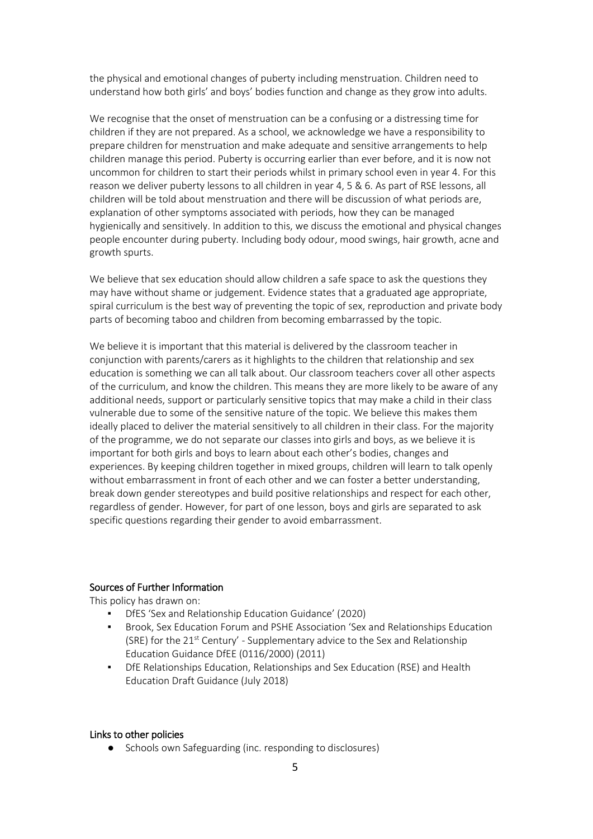the physical and emotional changes of puberty including menstruation. Children need to understand how both girls' and boys' bodies function and change as they grow into adults.

We recognise that the onset of menstruation can be a confusing or a distressing time for children if they are not prepared. As a school, we acknowledge we have a responsibility to prepare children for menstruation and make adequate and sensitive arrangements to help children manage this period. Puberty is occurring earlier than ever before, and it is now not uncommon for children to start their periods whilst in primary school even in year 4. For this reason we deliver puberty lessons to all children in year 4, 5 & 6. As part of RSE lessons, all children will be told about menstruation and there will be discussion of what periods are, explanation of other symptoms associated with periods, how they can be managed hygienically and sensitively. In addition to this, we discuss the emotional and physical changes people encounter during puberty. Including body odour, mood swings, hair growth, acne and growth spurts.

We believe that sex education should allow children a safe space to ask the questions they may have without shame or judgement. Evidence states that a graduated age appropriate, spiral curriculum is the best way of preventing the topic of sex, reproduction and private body parts of becoming taboo and children from becoming embarrassed by the topic.

We believe it is important that this material is delivered by the classroom teacher in conjunction with parents/carers as it highlights to the children that relationship and sex education is something we can all talk about. Our classroom teachers cover all other aspects of the curriculum, and know the children. This means they are more likely to be aware of any additional needs, support or particularly sensitive topics that may make a child in their class vulnerable due to some of the sensitive nature of the topic. We believe this makes them ideally placed to deliver the material sensitively to all children in their class. For the majority of the programme, we do not separate our classes into girls and boys, as we believe it is important for both girls and boys to learn about each other's bodies, changes and experiences. By keeping children together in mixed groups, children will learn to talk openly without embarrassment in front of each other and we can foster a better understanding, break down gender stereotypes and build positive relationships and respect for each other, regardless of gender. However, for part of one lesson, boys and girls are separated to ask specific questions regarding their gender to avoid embarrassment.

# Sources of Further Information

This policy has drawn on:

- DfES 'Sex and Relationship Education Guidance' (2020)
- Brook, Sex Education Forum and PSHE Association 'Sex and Relationships Education (SRE) for the  $21^{st}$  Century' - Supplementary advice to the Sex and Relationship Education Guidance DfEE (0116/2000) (2011)
- DfE Relationships Education, Relationships and Sex Education (RSE) and Health Education Draft Guidance (July 2018)

#### Links to other policies

● Schools own Safeguarding (inc. responding to disclosures)